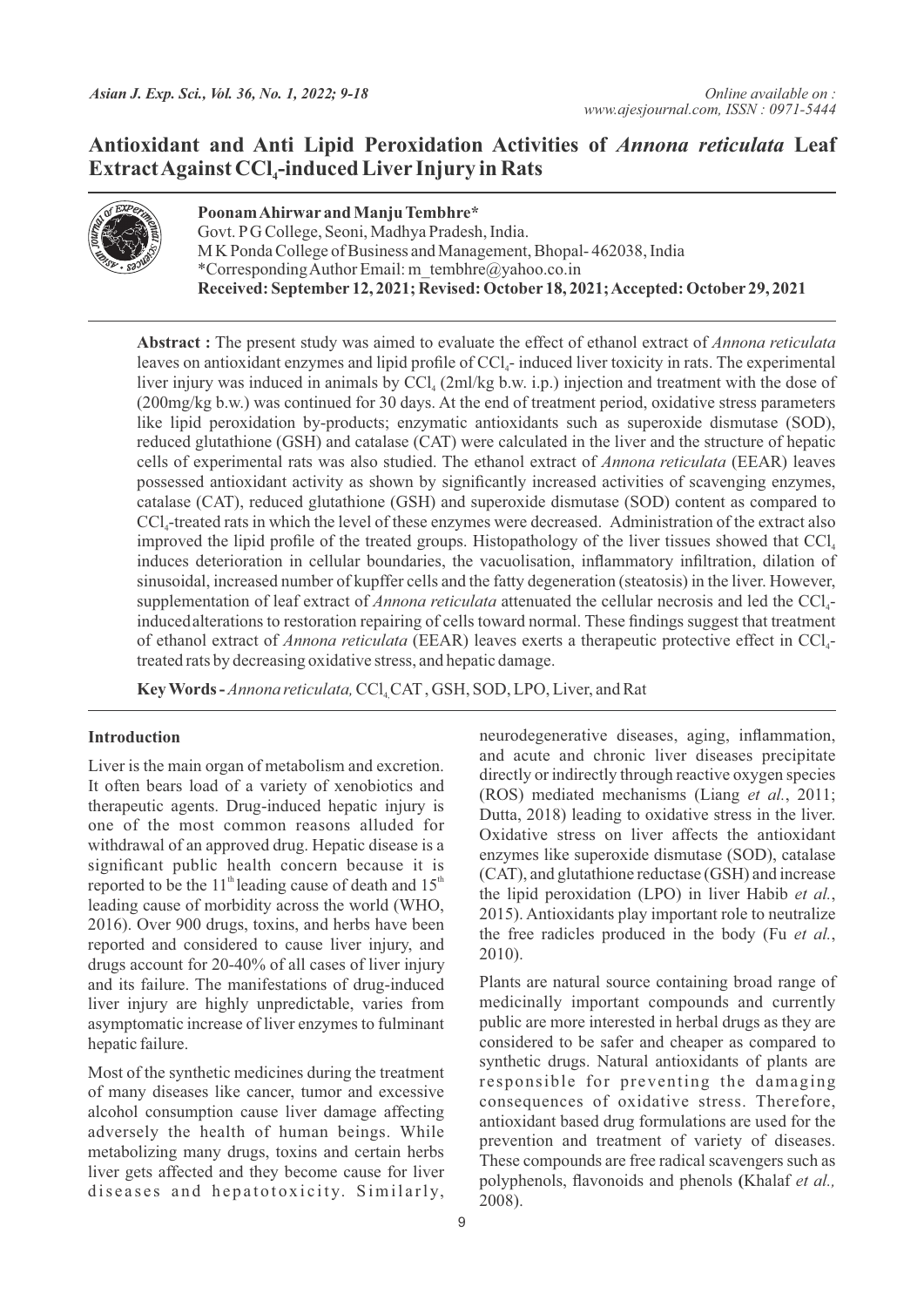# **Antioxidant and Anti Lipid Peroxidation Activities of** *Annona reticulata* **Leaf Extract Against CCl -induced Liver Injury in Rats <sup>4</sup>**



**Poonam Ahirwar and Manju Tembhre\*** Govt. PG College, Seoni, Madhya Pradesh, India. M K Ponda College of Business and Management, Bhopal- 462038, India \*Corresponding Author Email: m\_tembhre@yahoo.co.in **Received: September 12, 2021; Revised: October 18, 2021; Accepted: October 29, 2021**

**Abstract :** The present study was aimed to evaluate the effect of ethanol extract of *Annona reticulata* leaves on antioxidant enzymes and lipid profile of  $\text{CC}l_{\text{a}}$ -induced liver toxicity in rats. The experimental liver injury was induced in animals by  $CCl_4$  (2ml/kg b.w. i.p.) injection and treatment with the dose of (200mg/kg b.w.) was continued for 30 days. At the end of treatment period, oxidative stress parameters like lipid peroxidation by-products; enzymatic antioxidants such as superoxide dismutase (SOD), reduced glutathione (GSH) and catalase (CAT) were calculated in the liver and the structure of hepatic cells of experimental rats was also studied. The ethanol extract of *Annona reticulata* (EEAR) leaves possessed antioxidant activity as shown by significantly increased activities of scavenging enzymes, catalase (CAT), reduced glutathione (GSH) and superoxide dismutase (SOD) content as compared to CCl -treated rats in which the level of these enzymes were decreased. Administration of the extract also <sup>4</sup> improved the lipid profile of the treated groups. Histopathology of the liver tissues showed that  $CCl<sub>4</sub>$ induces deterioration in cellular boundaries, the vacuolisation, inflammatory infiltration, dilation of sinusoidal, increased number of kupffer cells and the fatty degeneration (steatosis) in the liver. However, supplementation of leaf extract of *Annona reticulata* attenuated the cellular necrosis and led the CCl<sub>4</sub>inducedalterations to restoration repairing of cells toward normal. These findings suggest that treatment of ethanol extract of *Annona reticulata* (EEAR) leaves exerts a therapeutic protective effect in CCl<sub>4</sub>treated rats by decreasing oxidative stress, and hepatic damage.

Key Words - *Annona reticulata*, CCl<sub>4</sub> CAT, GSH, SOD, LPO, Liver, and Rat

# **Introduction**

Liver is the main organ of metabolism and excretion. It often bears load of a variety of xenobiotics and therapeutic agents. Drug-induced hepatic injury is one of the most common reasons alluded for withdrawal of an approved drug. Hepatic disease is a significant public health concern because it is reported to be the 11<sup>th</sup> leading cause of death and  $15<sup>th</sup>$ leading cause of morbidity across the world (WHO, 2016). Over 900 drugs, toxins, and herbs have been reported and considered to cause liver injury, and drugs account for 20-40% of all cases of liver injury and its failure. The manifestations of drug-induced liver injury are highly unpredictable, varies from asymptomatic increase of liver enzymes to fulminant hepatic failure.

Most of the synthetic medicines during the treatment of many diseases like cancer, tumor and excessive alcohol consumption cause liver damage affecting adversely the health of human beings. While metabolizing many drugs, toxins and certain herbs liver gets affected and they become cause for liver diseases and hepatotoxicity. Similarly,

neurodegenerative diseases, aging, inflammation, and acute and chronic liver diseases precipitate directly or indirectly through reactive oxygen species (ROS) mediated mechanisms (Liang *et al.*, 2011; Dutta, 2018) leading to oxidative stress in the liver. Oxidative stress on liver affects the antioxidant enzymes like superoxide dismutase (SOD), catalase (CAT), and glutathione reductase (GSH) and increase the lipid peroxidation (LPO) in liver Habib *et al.*, 2015). Antioxidants play important role to neutralize the free radicles produced in the body (Fu *et al.*, 2010).

Plants are natural source containing broad range of medicinally important compounds and currently public are more interested in herbal drugs as they are considered to be safer and cheaper as compared to synthetic drugs. Natural antioxidants of plants are responsible for preventing the damaging consequences of oxidative stress. Therefore, antioxidant based drug formulations are used for the prevention and treatment of variety of diseases. These compounds are free radical scavengers such as polyphenols, flavonoids and phenols **(**Khalaf *et al.,*  2008).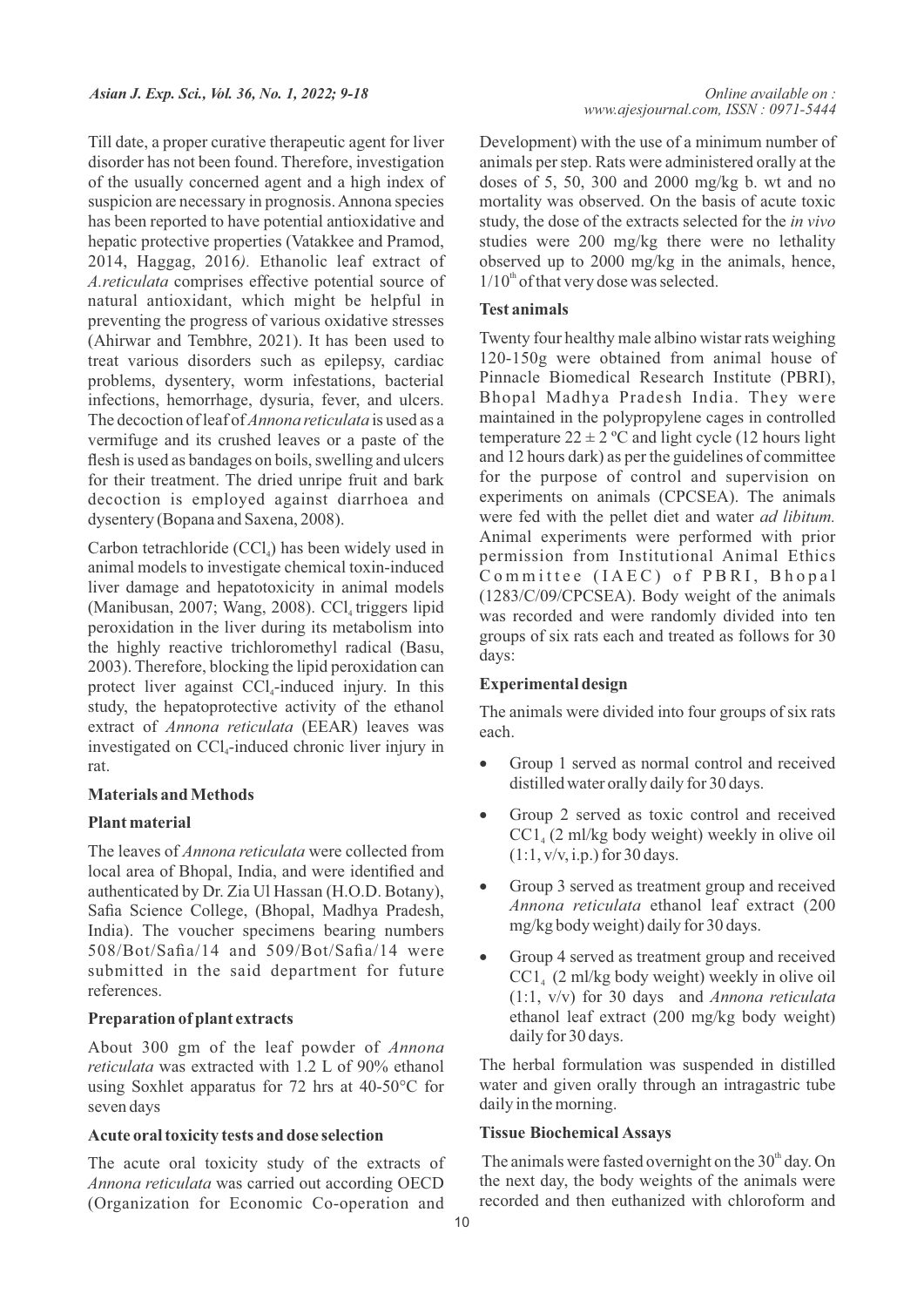Till date, a proper curative therapeutic agent for liver disorder has not been found. Therefore, investigation of the usually concerned agent and a high index of suspicion are necessary in prognosis. Annona species has been reported to have potential antioxidative and hepatic protective properties (Vatakkee and Pramod, 2014, Haggag, 2016*).* Ethanolic leaf extract of *A.reticulata* comprises effective potential source of natural antioxidant, which might be helpful in preventing the progress of various oxidative stresses (Ahirwar and Tembhre, 2021). It has been used to treat various disorders such as epilepsy, cardiac problems, dysentery, worm infestations, bacterial infections, hemorrhage, dysuria, fever, and ulcers. The decoction of leaf of *Annona reticulata* is used as a vermifuge and its crushed leaves or a paste of the flesh is used as bandages on boils, swelling and ulcers for their treatment. The dried unripe fruit and bark decoction is employed against diarrhoea and dysentery (Bopana and Saxena, 2008).

Carbon tetrachloride  $(CCl<sub>4</sub>)$  has been widely used in animal models to investigate chemical toxin-induced liver damage and hepatotoxicity in animal models (Manibusan, 2007; Wang, 2008).  $CCl_4$  triggers lipid peroxidation in the liver during its metabolism into the highly reactive trichloromethyl radical (Basu, 2003). Therefore, blocking the lipid peroxidation can protect liver against  $\text{CCl}_4$ -induced injury. In this study, the hepatoprotective activity of the ethanol extract of *Annona reticulata* (EEAR) leaves was investigated on  $\text{CCl}_4$ -induced chronic liver injury in rat.

## **Materials and Methods**

### **Plant material**

The leaves of *Annona reticulata* were collected from local area of Bhopal, India, and were identified and authenticated by Dr. Zia Ul Hassan (H.O.D. Botany), Safia Science College, (Bhopal, Madhya Pradesh, India). The voucher specimens bearing numbers 508/Bot/Safia/14 and 509/Bot/Safia/14 were submitted in the said department for future references.

#### **Preparation of plant extracts**

About 300 gm of the leaf powder of *Annona reticulata* was extracted with 1.2 L of 90% ethanol using Soxhlet apparatus for 72 hrs at 40-50°C for seven days

#### **Acute oral toxicity tests and dose selection**

The acute oral toxicity study of the extracts of *Annona reticulata* was carried out according OECD (Organization for Economic Co-operation and Development) with the use of a minimum number of animals per step. Rats were administered orally at the doses of 5, 50, 300 and 2000 mg/kg b. wt and no mortality was observed. On the basis of acute toxic study, the dose of the extracts selected for the *in vivo* studies were 200 mg/kg there were no lethality observed up to 2000 mg/kg in the animals, hence,  $1/10<sup>th</sup>$  of that very dose was selected.

#### **Test animals**

Twenty four healthy male albino wistar rats weighing 120-150g were obtained from animal house of Pinnacle Biomedical Research Institute (PBRI), Bhopal Madhya Pradesh India. They were maintained in the polypropylene cages in controlled temperature  $22 \pm 2$  °C and light cycle (12 hours light and 12 hours dark) as per the guidelines of committee for the purpose of control and supervision on experiments on animals (CPCSEA). The animals were fed with the pellet diet and water *ad libitum.* Animal experiments were performed with prior permission from Institutional Animal Ethics Committee (IAEC) of PBRI, Bhopal (1283/C/09/CPCSEA). Body weight of the animals was recorded and were randomly divided into ten groups of six rats each and treated as follows for 30 days:

### **Experimental design**

The animals were divided into four groups of six rats each.

- Group 1 served as normal control and received distilled water orally daily for 30 days.
- Group 2 served as toxic control and received  $CC1<sub>4</sub>$  (2 ml/kg body weight) weekly in olive oil  $(1:1, v/v, i.p.)$  for 30 days.
- Group 3 served as treatment group and received *Annona reticulata* ethanol leaf extract (200 mg/kg body weight) daily for 30 days.
- Group 4 served as treatment group and received  $CC1<sub>4</sub>$  (2 ml/kg body weight) weekly in olive oil (1:1, v/v) for 30 days and *Annona reticulata* ethanol leaf extract (200 mg/kg body weight) daily for 30 days.

The herbal formulation was suspended in distilled water and given orally through an intragastric tube daily in the morning.

### **Tissue Biochemical Assays**

The animals were fasted overnight on the  $30<sup>th</sup>$  day. On the next day, the body weights of the animals were recorded and then euthanized with chloroform and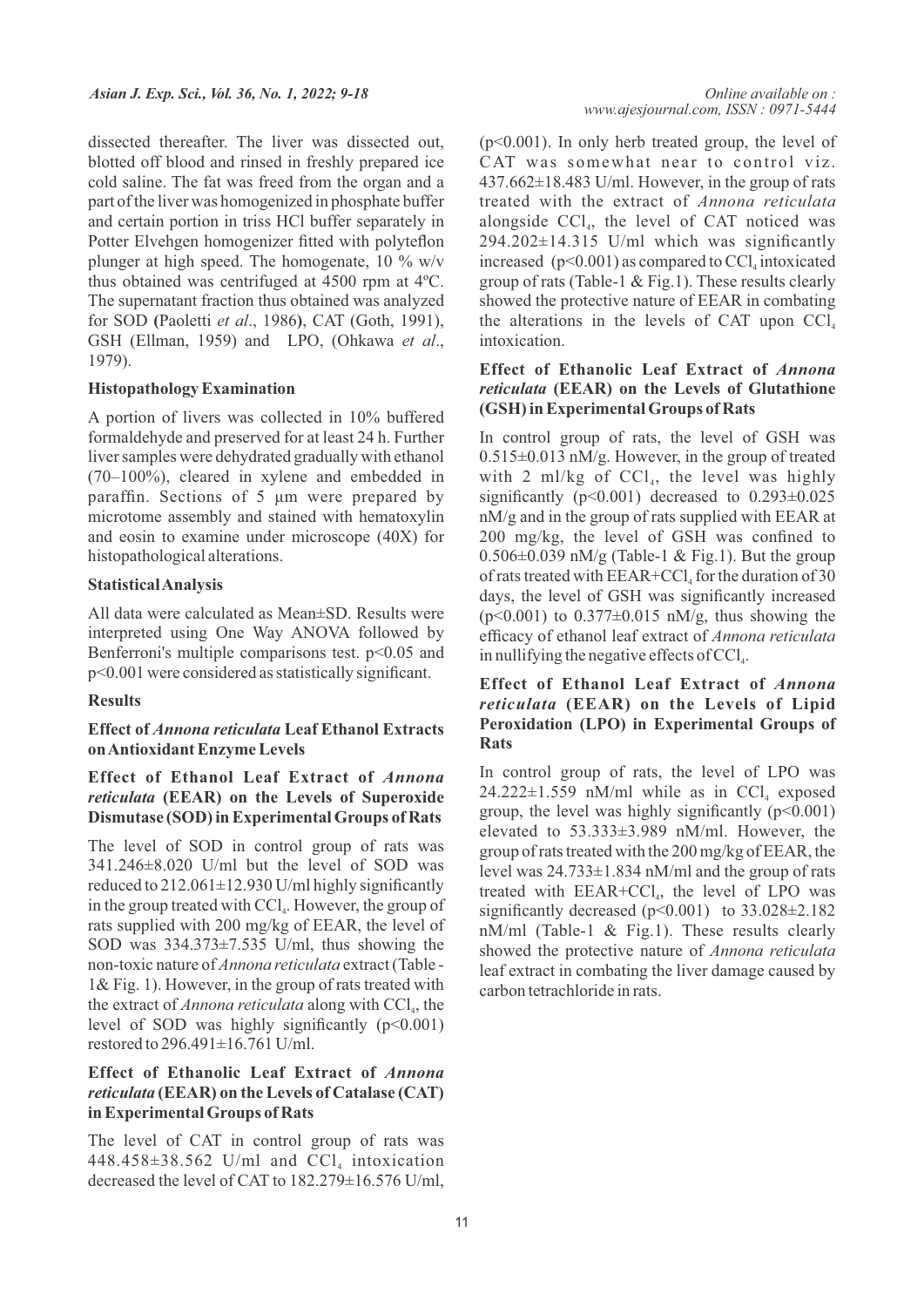dissected thereafter. The liver was dissected out, blotted off blood and rinsed in freshly prepared ice cold saline. The fat was freed from the organ and a part of the liver was homogenized in phosphate buffer and certain portion in triss HCl buffer separately in Potter Elvehgen homogenizer fitted with polyteflon plunger at high speed. The homogenate, 10 % w/v thus obtained was centrifuged at  $4500$  rpm at  $4^{\circ}$ C. The supernatant fraction thus obtained was analyzed for SOD **(**Paoletti *et al*., 1986**)**, CAT (Goth, 1991), GSH (Ellman, 1959) and LPO, (Ohkawa *et al*., 1979).

### **Histopathology Examination**

A portion of livers was collected in 10% buffered formaldehyde and preserved for at least 24 h. Further liver samples were dehydrated gradually with ethanol (70–100%), cleared in xylene and embedded in paraffin. Sections of 5 μm were prepared by microtome assembly and stained with hematoxylin and eosin to examine under microscope (40X) for histopathological alterations.

# **Statistical Analysis**

All data were calculated as Mean±SD. Results were interpreted using One Way ANOVA followed by Benferroni's multiple comparisons test.  $p<0.05$  and p<0.001 were considered as statistically significant.

# **Results**

# **Effect of** *Annona reticulata* **Leaf Ethanol Extracts on Antioxidant Enzyme Levels**

# **Effect of Ethanol Leaf Extract of** *Annona reticulata* **(EEAR) on the Levels of Superoxide Dismutase (SOD) in Experimental Groups of Rats**

The level of SOD in control group of rats was 341.246±8.020 U/ml but the level of SOD was reduced to 212.061±12.930 U/ml highly significantly in the group treated with  $\text{CCl}_4$ . However, the group of rats supplied with 200 mg/kg of EEAR, the level of SOD was 334.373±7.535 U/ml, thus showing the non-toxic nature of *Annona reticulata* extract (Table - 1& Fig. 1). However, in the group of rats treated with the extract of *Annona reticulata* along with CCl<sub>a</sub>, the level of SOD was highly significantly  $(p<0.001)$ restored to 296.491±16.761 U/ml.

# **Effect of Ethanolic Leaf Extract of** *Annona reticulata* **(EEAR) on the Levels of Catalase (CAT) in Experimental Groups of Rats**

The level of CAT in control group of rats was 448.458 $\pm$ 38.562 U/ml and CCl<sub>4</sub> intoxication decreased the level of CAT to 182.279±16.576 U/ml, (p<0.001). In only herb treated group, the level of CAT was somewhat near to control viz.  $437.662\pm18.483$  U/ml. However, in the group of rats treated with the extract of *Annona reticulata* alongside  $\text{CCl}_4$ , the level of CAT noticed was  $294.202\pm14.315$  U/ml which was significantly increased  $(p<0.001)$  as compared to CCl, intoxicated group of rats (Table-1 & Fig.1). These results clearly showed the protective nature of EEAR in combating the alterations in the levels of CAT upon  $\text{CC}l_{4}$ intoxication.

# **Effect of Ethanolic Leaf Extract of** *Annona reticulata* **(EEAR) on the Levels of Glutathione (GSH) in Experimental Groups of Rats**

In control group of rats, the level of GSH was 0.515±0.013 nM/g. However, in the group of treated with 2 ml/kg of  $\text{CCl}_4$ , the level was highly significantly ( $p<0.001$ ) decreased to  $0.293\pm0.025$ nM/g and in the group of rats supplied with EEAR at 200 mg/kg, the level of GSH was confined to  $0.506\pm0.039$  nM/g (Table-1 & Fig.1). But the group of rats treated with  $EEAR+CCl<sub>4</sub>$  for the duration of 30 days, the level of GSH was significantly increased  $(p<0.001)$  to  $0.377\pm0.015$  nM/g, thus showing the efficacy of ethanol leaf extract of *Annona reticulata* in nullifying the negative effects of CCl<sub>4</sub>.

# **Effect of Ethanol Leaf Extract of** *Annona reticulata* **(EEAR) on the Levels of Lipid Peroxidation (LPO) in Experimental Groups of Rats**

In control group of rats, the level of LPO was  $24.222 \pm 1.559$  nM/ml while as in CCl, exposed group, the level was highly significantly  $(p<0.001)$ elevated to 53.333±3.989 nM/ml. However, the group of rats treated with the 200 mg/kg of EEAR, the level was 24.733±1.834 nM/ml and the group of rats treated with  $EEAR+CCl<sub>a</sub>$ , the level of LPO was significantly decreased  $(p<0.001)$  to 33.028 $\pm$ 2.182 nM/ml (Table-1 & Fig.1). These results clearly showed the protective nature of *Annona reticulata* leaf extract in combating the liver damage caused by carbon tetrachloride in rats.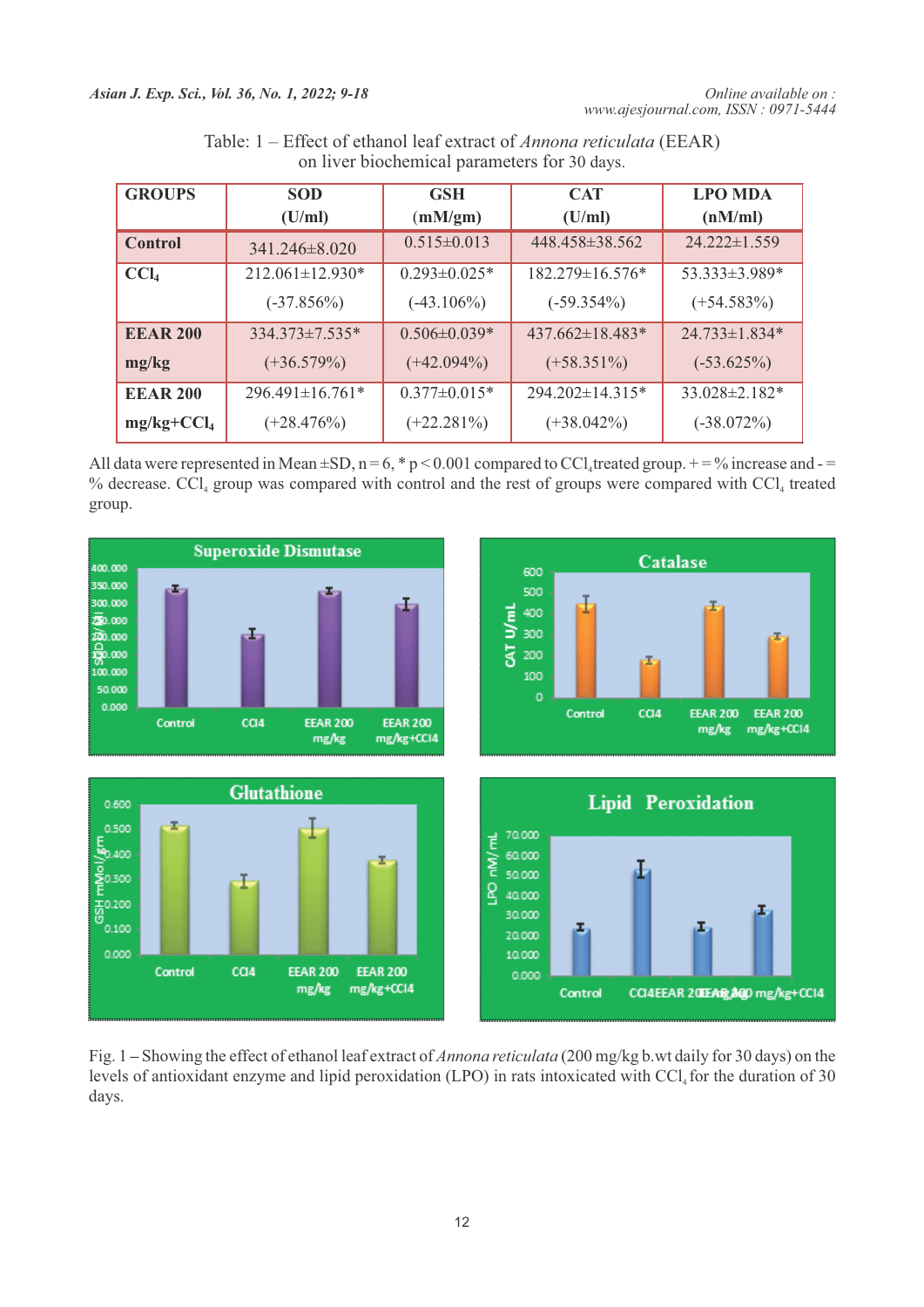| <b>GROUPS</b>    | <b>SOD</b>            | <b>GSH</b>          | <b>CAT</b>           | <b>LPO MDA</b>      |
|------------------|-----------------------|---------------------|----------------------|---------------------|
|                  | (U/ml)                | (mM/gm)             | (U/ml)               | (nM/ml)             |
| Control          | 341.246±8.020         | $0.515 \pm 0.013$   | $448.458 \pm 38.562$ | $24.222 \pm 1.559$  |
| CCl <sub>4</sub> | $212.061 \pm 12.930*$ | $0.293 \pm 0.025$ * | 182.279±16.576*      | 53.333±3.989*       |
|                  | $(-37.856%)$          | $(-43.106\%)$       | $(-59.354\%)$        | $(+54.583\%)$       |
| <b>EEAR 200</b>  | $334.373 \pm 7.535^*$ | $0.506 \pm 0.039*$  | $437.662\pm18.483*$  | $24.733\pm1.834*$   |
| mg/kg            | $(+36.579%)$          | $(+42.094\%)$       | $(+58.351\%)$        | $(-53.625%)$        |
| <b>EEAR 200</b>  | $296.491 \pm 16.761*$ | $0.377 \pm 0.015*$  | $294.202\pm14.315*$  | $33.028 \pm 2.182*$ |
| $mg/kg+CCl4$     | $(+28.476%)$          | $(+22.281\%)$       | $(+38.042\%)$        | $(-38.072\%)$       |

| Table: 1 – Effect of ethanol leaf extract of <i>Annona reticulata</i> (EEAR) |
|------------------------------------------------------------------------------|
| on liver biochemical parameters for 30 days.                                 |

All data were represented in Mean  $\pm SD$ , n = 6, \* p < 0.001 compared to CCl<sub>4</sub> treated group. + = % increase and - = % decrease.  $\text{CCl}_4$  group was compared with control and the rest of groups were compared with  $\text{CCl}_4$  treated group.



Fig. 1 **–** Showing the effect of ethanol leaf extract of *Annona reticulata* (200 mg/kg b.wt daily for 30 days) on the levels of antioxidant enzyme and lipid peroxidation (LPO) in rats intoxicated with CCl<sub>4</sub> for the duration of 30 days.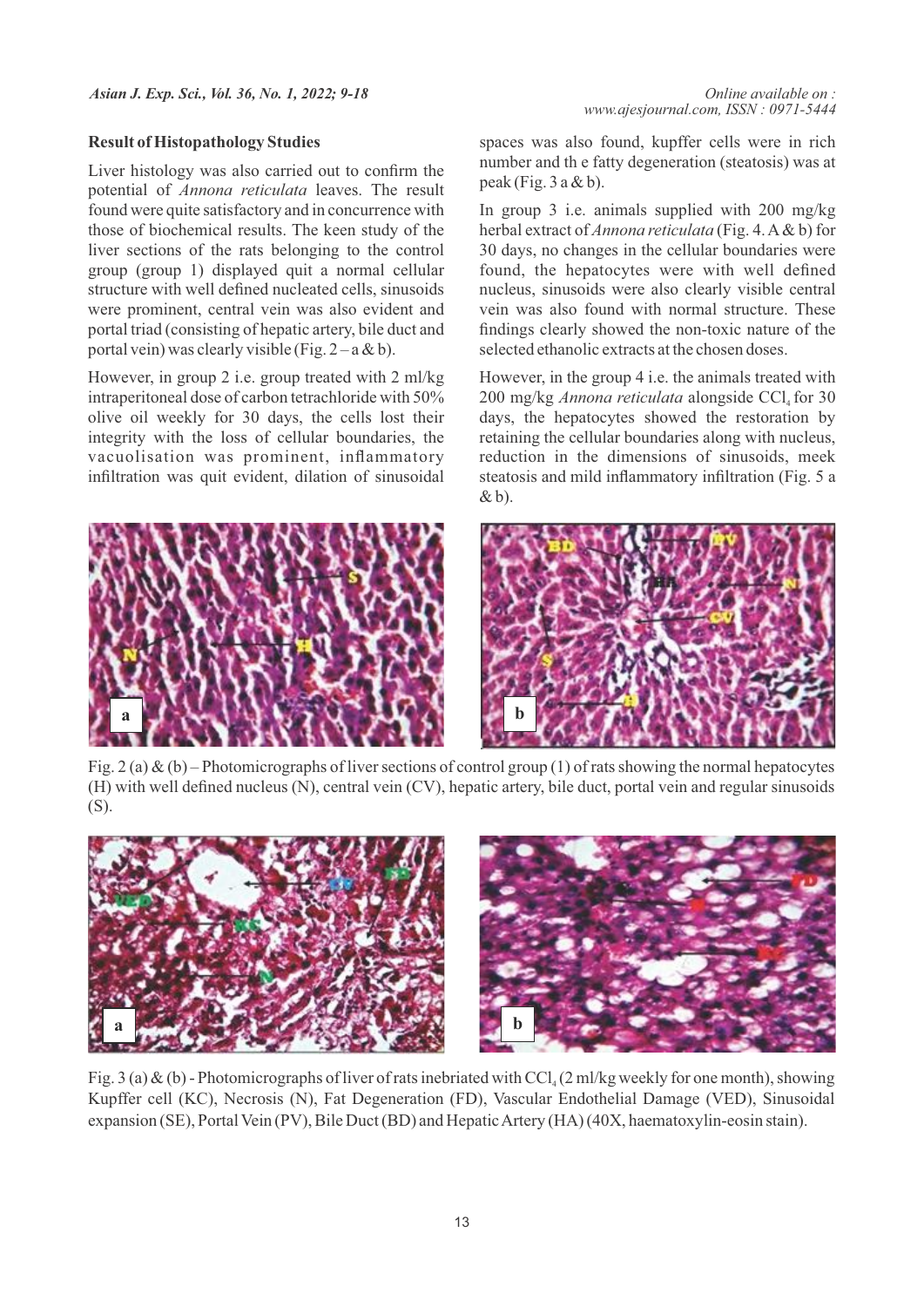### **Result of Histopathology Studies**

Liver histology was also carried out to confirm the potential of *Annona reticulata* leaves. The result found were quite satisfactory and in concurrence with those of biochemical results. The keen study of the liver sections of the rats belonging to the control group (group 1) displayed quit a normal cellular structure with well defined nucleated cells, sinusoids were prominent, central vein was also evident and portal triad (consisting of hepatic artery, bile duct and portal vein) was clearly visible (Fig.  $2 - a \& b$ ).

However, in group 2 i.e. group treated with 2 ml/kg intraperitoneal dose of carbon tetrachloride with 50% olive oil weekly for 30 days, the cells lost their integrity with the loss of cellular boundaries, the vacuolisation was prominent, inflammatory infiltration was quit evident, dilation of sinusoidal

spaces was also found, kupffer cells were in rich number and th e fatty degeneration (steatosis) was at peak (Fig.  $3$  a & b).

In group 3 i.e. animals supplied with 200 mg/kg herbal extract of *Annona reticulata* (Fig. 4. A& b) for 30 days, no changes in the cellular boundaries were found, the hepatocytes were with well defined nucleus, sinusoids were also clearly visible central vein was also found with normal structure. These findings clearly showed the non-toxic nature of the selected ethanolic extracts at the chosen doses.

However, in the group 4 i.e. the animals treated with 200 mg/kg *Annona reticulata* alongside CCl<sub>4</sub> for 30 days, the hepatocytes showed the restoration by retaining the cellular boundaries along with nucleus, reduction in the dimensions of sinusoids, meek steatosis and mild inflammatory infiltration (Fig. 5 a  $\& b$ ).



Fig. 2 (a) & (b) – Photomicrographs of liver sections of control group (1) of rats showing the normal hepatocytes (H) with well defined nucleus (N), central vein (CV), hepatic artery, bile duct, portal vein and regular sinusoids (S).



Fig. 3 (a) & (b) - Photomicrographs of liver of rats inebriated with CCl<sub>4</sub> (2 ml/kg weekly for one month), showing Kupffer cell (KC), Necrosis (N), Fat Degeneration (FD), Vascular Endothelial Damage (VED), Sinusoidal expansion (SE), Portal Vein (PV), Bile Duct (BD) and Hepatic Artery (HA) (40X, haematoxylin-eosin stain).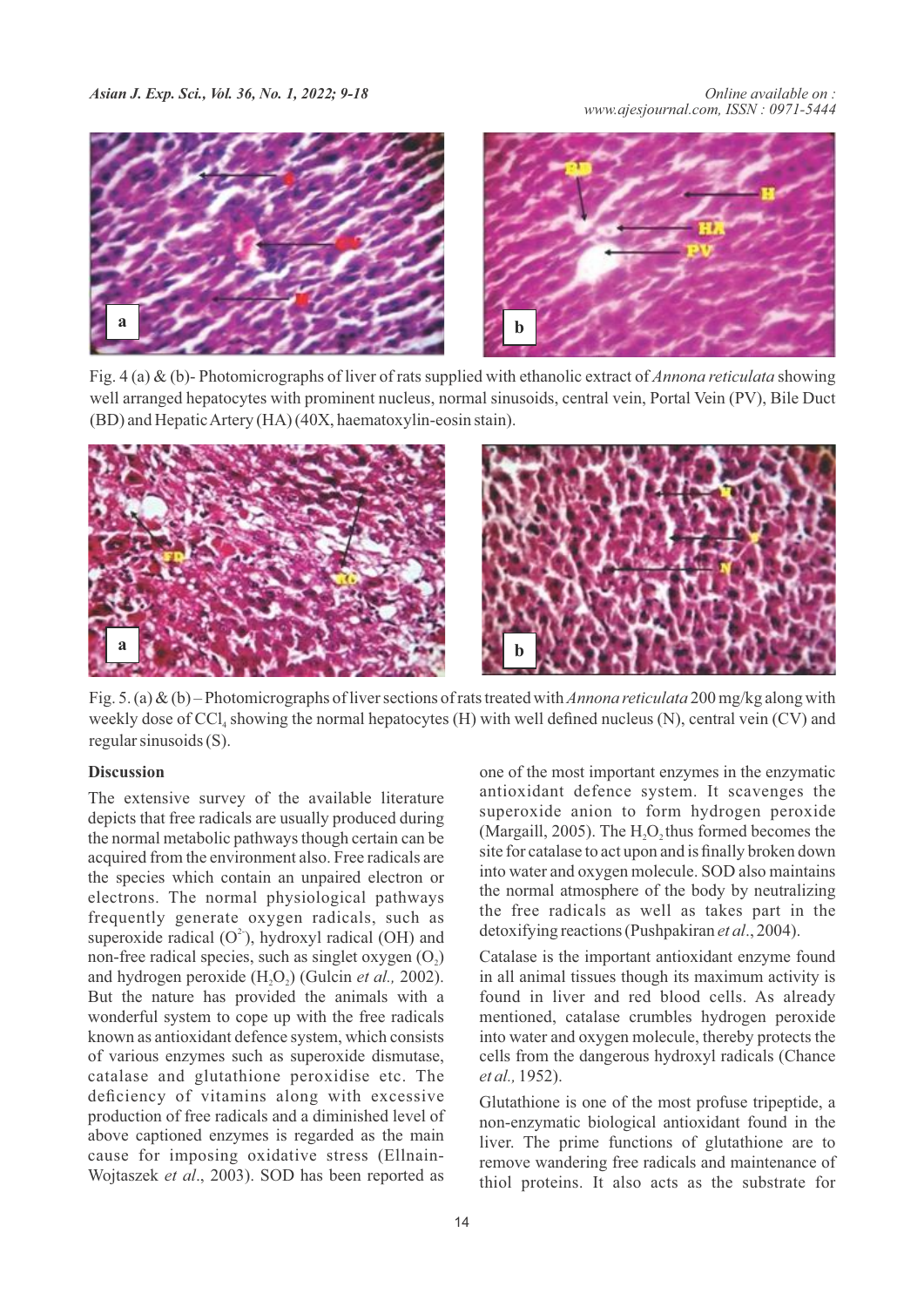

Fig. 4 (a) & (b)- Photomicrographs of liver of rats supplied with ethanolic extract of *Annona reticulata* showing well arranged hepatocytes with prominent nucleus, normal sinusoids, central vein, Portal Vein (PV), Bile Duct (BD) and Hepatic Artery (HA) (40X, haematoxylin-eosin stain).



Fig. 5. (a) & (b) – Photomicrographs of liver sections of rats treated with *Annona reticulata* 200 mg/kg along with weekly dose of  $\text{CC}l_4$  showing the normal hepatocytes (H) with well defined nucleus (N), central vein (CV) and regular sinusoids (S).

# **Discussion**

The extensive survey of the available literature depicts that free radicals are usually produced during the normal metabolic pathways though certain can be acquired from the environment also. Free radicals are the species which contain an unpaired electron or electrons. The normal physiological pathways frequently generate oxygen radicals, such as superoxide radical  $(O^2)$ , hydroxyl radical (OH) and non-free radical species, such as singlet oxygen  $(O<sub>2</sub>)$ and hydrogen peroxide (H<sub>2</sub>O<sub>2</sub>) (Gulcin *et al.*, 2002). But the nature has provided the animals with a wonderful system to cope up with the free radicals known as antioxidant defence system, which consists of various enzymes such as superoxide dismutase, catalase and glutathione peroxidise etc. The deficiency of vitamins along with excessive production of free radicals and a diminished level of above captioned enzymes is regarded as the main cause for imposing oxidative stress (Ellnain-Wojtaszek *et al*., 2003). SOD has been reported as

one of the most important enzymes in the enzymatic antioxidant defence system. It scavenges the superoxide anion to form hydrogen peroxide (Margaill, 2005). The  $H<sub>2</sub>O$ , thus formed becomes the site for catalase to act upon and is finally broken down into water and oxygen molecule. SOD also maintains the normal atmosphere of the body by neutralizing the free radicals as well as takes part in the detoxifying reactions (Pushpakiran *et al*., 2004).

Catalase is the important antioxidant enzyme found in all animal tissues though its maximum activity is found in liver and red blood cells. As already mentioned, catalase crumbles hydrogen peroxide into water and oxygen molecule, thereby protects the cells from the dangerous hydroxyl radicals (Chance *et al.,* 1952).

Glutathione is one of the most profuse tripeptide, a non-enzymatic biological antioxidant found in the liver. The prime functions of glutathione are to remove wandering free radicals and maintenance of thiol proteins. It also acts as the substrate for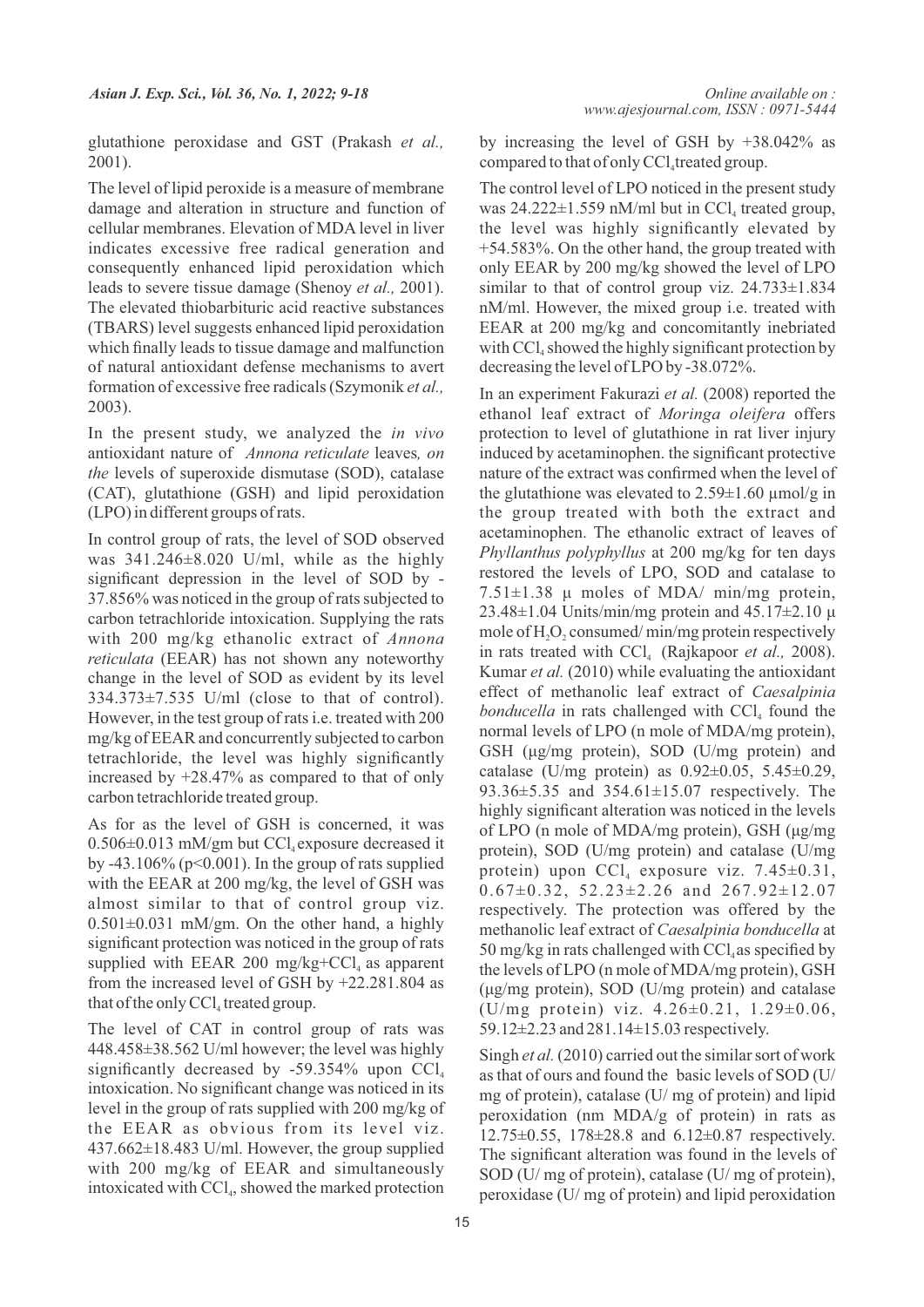glutathione peroxidase and GST (Prakash *et al.,* 2001).

The level of lipid peroxide is a measure of membrane damage and alteration in structure and function of cellular membranes. Elevation of MDA level in liver indicates excessive free radical generation and consequently enhanced lipid peroxidation which leads to severe tissue damage (Shenoy *et al.,* 2001). The elevated thiobarbituric acid reactive substances (TBARS) level suggests enhanced lipid peroxidation which finally leads to tissue damage and malfunction of natural antioxidant defense mechanisms to avert formation of excessive free radicals (Szymonik *et al.,* 2003).

In the present study, we analyzed the *in vivo* antioxidant nature of *Annona reticulate* leaves*, on the* levels of superoxide dismutase (SOD), catalase (CAT), glutathione (GSH) and lipid peroxidation (LPO) in different groups of rats.

In control group of rats, the level of SOD observed was 341.246±8.020 U/ml, while as the highly significant depression in the level of SOD by - 37.856% was noticed in the group of rats subjected to carbon tetrachloride intoxication. Supplying the rats with 200 mg/kg ethanolic extract of *Annona reticulata* (EEAR) has not shown any noteworthy change in the level of SOD as evident by its level 334.373±7.535 U/ml (close to that of control). However, in the test group of rats i.e. treated with 200 mg/kg of EEAR and concurrently subjected to carbon tetrachloride, the level was highly significantly increased by +28.47% as compared to that of only carbon tetrachloride treated group.

As for as the level of GSH is concerned, it was  $0.506\pm0.013$  mM/gm but CCl<sub>4</sub> exposure decreased it by -43.106% ( $p<0.001$ ). In the group of rats supplied with the EEAR at 200 mg/kg, the level of GSH was almost similar to that of control group viz.  $0.501 \pm 0.031$  mM/gm. On the other hand, a highly significant protection was noticed in the group of rats supplied with EEAR 200 mg/kg+CCl<sub>4</sub> as apparent from the increased level of GSH by +22.281.804 as that of the only  $\text{CCl}_4$  treated group.

The level of CAT in control group of rats was 448.458±38.562 U/ml however; the level was highly significantly decreased by -59.354% upon  $CCl<sub>4</sub>$ intoxication. No significant change was noticed in its level in the group of rats supplied with 200 mg/kg of the EEAR as obvious from its level viz. 437.662±18.483 U/ml. However, the group supplied with 200 mg/kg of EEAR and simultaneously intoxicated with  $\text{CCl}_4$ , showed the marked protection by increasing the level of GSH by +38.042% as compared to that of only CCl<sub>4</sub> treated group.

The control level of LPO noticed in the present study was  $24.222 \pm 1.559$  nM/ml but in CCl<sub>4</sub> treated group, the level was highly significantly elevated by +54.583%. On the other hand, the group treated with only EEAR by 200 mg/kg showed the level of LPO similar to that of control group viz.  $24.733\pm1.834$ nM/ml. However, the mixed group i.e. treated with EEAR at 200 mg/kg and concomitantly inebriated with  $\text{CC}1_{4}$  showed the highly significant protection by decreasing the level of LPO by -38.072%.

In an experiment Fakurazi *et al.* (2008) reported the ethanol leaf extract of *Moringa oleifera* offers protection to level of glutathione in rat liver injury induced by acetaminophen. the significant protective nature of the extract was confirmed when the level of the glutathione was elevated to  $2.59\pm1.60$   $\mu$ mol/g in the group treated with both the extract and acetaminophen. The ethanolic extract of leaves of *Phyllanthus polyphyllus* at 200 mg/kg for ten days restored the levels of LPO, SOD and catalase to  $7.51\pm1.38$  μ moles of MDA/ min/mg protein,  $23.48\pm1.04$  Units/min/mg protein and  $45.17\pm2.10$  μ mole of  $H_2O_2$  consumed/min/mg protein respectively in rats treated with CCl<sub>4</sub> (Rajkapoor *et al.*, 2008). Kumar *et al.* (2010) while evaluating the antioxidant effect of methanolic leaf extract of *Caesalpinia bonducella* in rats challenged with CCl<sub>4</sub> found the normal levels of LPO (n mole of MDA/mg protein), GSH (μg/mg protein), SOD (U/mg protein) and catalase (U/mg protein) as 0.92±0.05, 5.45±0.29, 93.36±5.35 and 354.61±15.07 respectively. The highly significant alteration was noticed in the levels of LPO (n mole of MDA/mg protein), GSH (μg/mg protein), SOD (U/mg protein) and catalase (U/mg protein) upon  $\text{CCl}_4$  exposure viz. 7.45 $\pm$ 0.31, 0.67±0.32, 52.23±2.26 and 267.92±12.07 respectively. The protection was offered by the methanolic leaf extract of *Caesalpinia bonducella* at 50 mg/kg in rats challenged with  $\text{CC}l_{4}$  as specified by the levels of LPO (n mole of MDA/mg protein), GSH (μg/mg protein), SOD (U/mg protein) and catalase (U/mg protein) viz. 4.26±0.21, 1.29±0.06, 59.12±2.23 and 281.14±15.03 respectively.

Singh *et al.* (2010) carried out the similar sort of work as that of ours and found the basic levels of SOD (U/ mg of protein), catalase (U/ mg of protein) and lipid peroxidation (nm MDA/g of protein) in rats as 12.75±0.55, 178±28.8 and 6.12±0.87 respectively. The significant alteration was found in the levels of SOD (U/ mg of protein), catalase (U/ mg of protein), peroxidase (U/ mg of protein) and lipid peroxidation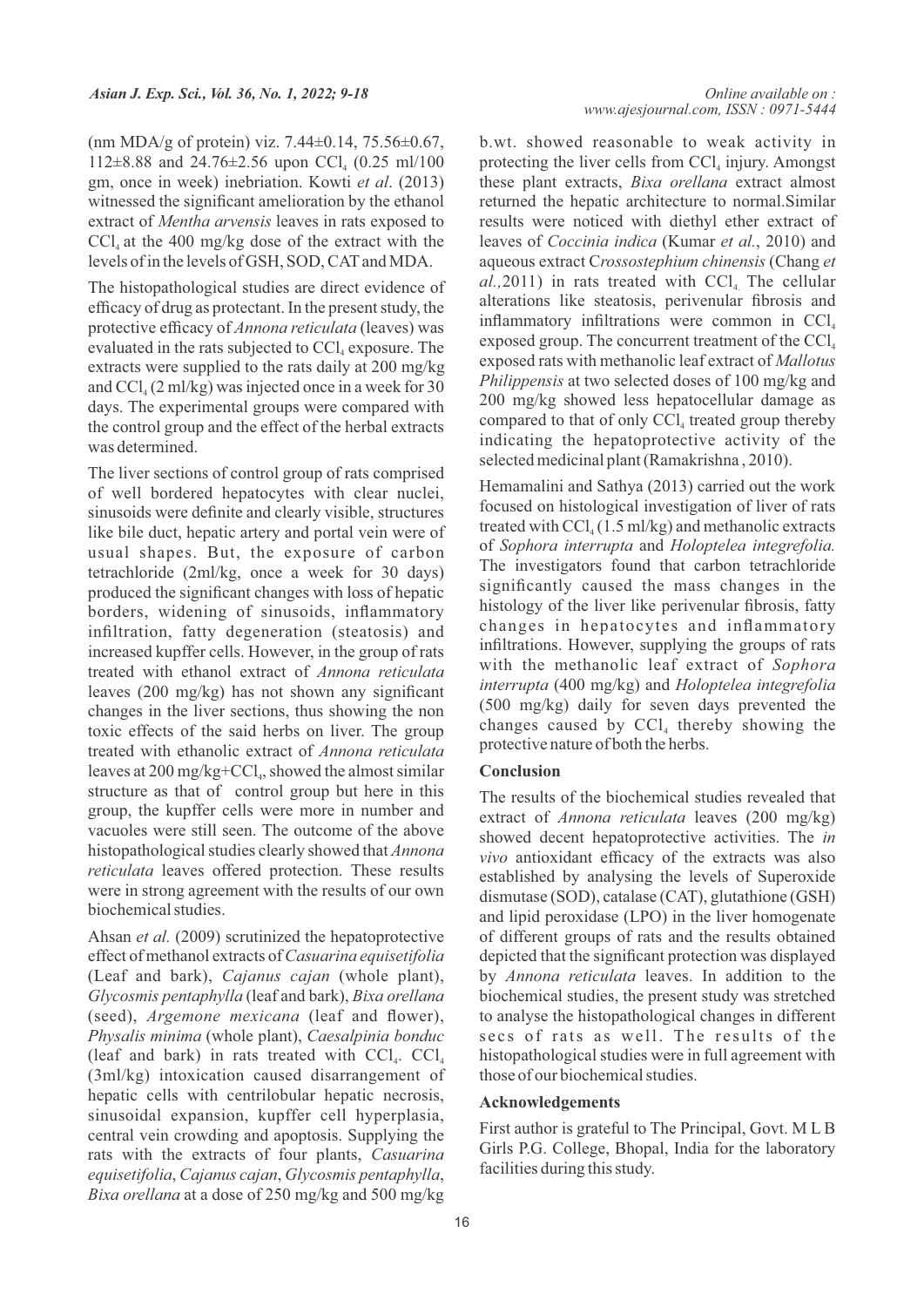(nm MDA/g of protein) viz. 7.44±0.14, 75.56±0.67, 112 $\pm$ 8.88 and 24.76 $\pm$ 2.56 upon CCl<sub>4</sub> (0.25 ml/100) gm, once in week) inebriation. Kowti *et al*. (2013) witnessed the significant amelioration by the ethanol extract of *Mentha arvensis* leaves in rats exposed to  $\text{CCl}_4$  at the 400 mg/kg dose of the extract with the levels of in the levels of GSH, SOD, CATand MDA.

The histopathological studies are direct evidence of efficacy of drug as protectant. In the present study, the protective efficacy of *Annona reticulata* (leaves) was evaluated in the rats subjected to  $\text{CCl}_4$  exposure. The extracts were supplied to the rats daily at 200 mg/kg and  $CCl<sub>4</sub>(2 ml/kg)$  was injected once in a week for 30 days. The experimental groups were compared with the control group and the effect of the herbal extracts was determined.

The liver sections of control group of rats comprised of well bordered hepatocytes with clear nuclei, sinusoids were definite and clearly visible, structures like bile duct, hepatic artery and portal vein were of usual shapes. But, the exposure of carbon tetrachloride (2ml/kg, once a week for 30 days) produced the significant changes with loss of hepatic borders, widening of sinusoids, inflammatory infiltration, fatty degeneration (steatosis) and increased kupffer cells. However, in the group of rats treated with ethanol extract of *Annona reticulata*  leaves (200 mg/kg) has not shown any significant changes in the liver sections, thus showing the non toxic effects of the said herbs on liver. The group treated with ethanolic extract of *Annona reticulata* leaves at 200 mg/kg+CCl<sub>4</sub>, showed the almost similar structure as that of control group but here in this group, the kupffer cells were more in number and vacuoles were still seen. The outcome of the above histopathological studies clearly showed that *Annona reticulata* leaves offered protection. These results were in strong agreement with the results of our own biochemical studies.

Ahsan *et al.* (2009) scrutinized the hepatoprotective effect of methanol extracts of *Casuarina equisetifolia*  (Leaf and bark), *Cajanus cajan* (whole plant), *Glycosmis pentaphylla* (leaf and bark), *Bixa orellana*  (seed), *Argemone mexicana* (leaf and flower), *Physalis minima* (whole plant), *Caesalpinia bonduc*  (leaf and bark) in rats treated with  $\text{CCl}_{4}$ .  $\text{CCl}_{4}$ (3ml/kg) intoxication caused disarrangement of hepatic cells with centrilobular hepatic necrosis, sinusoidal expansion, kupffer cell hyperplasia, central vein crowding and apoptosis. Supplying the rats with the extracts of four plants, *Casuarina equisetifolia*, *Cajanus cajan*, *Glycosmis pentaphylla*, *Bixa orellana* at a dose of 250 mg/kg and 500 mg/kg b.wt. showed reasonable to weak activity in protecting the liver cells from  $\text{CCl}_4$  injury. Amongst these plant extracts, *Bixa orellana* extract almost returned the hepatic architecture to normal.Similar results were noticed with diethyl ether extract of leaves of *Coccinia indica* (Kumar *et al.*, 2010) and aqueous extract C*rossostephium chinensis* (Chang *et*   $al., 2011$ ) in rats treated with  $\text{CCl}_4$ . The cellular alterations like steatosis, perivenular fibrosis and inflammatory infiltrations were common in  $\text{CC}l_{4}$ exposed group. The concurrent treatment of the  $\text{CC}l_{4}$ exposed rats with methanolic leaf extract of *Mallotus Philippensis* at two selected doses of 100 mg/kg and 200 mg/kg showed less hepatocellular damage as compared to that of only  $\text{CCl}_4$  treated group thereby indicating the hepatoprotective activity of the selected medicinal plant (Ramakrishna , 2010).

Hemamalini and Sathya (2013) carried out the work focused on histological investigation of liver of rats treated with  $\text{CCl}_4$  (1.5 ml/kg) and methanolic extracts of *Sophora interrupta* and *Holoptelea integrefolia.* The investigators found that carbon tetrachloride significantly caused the mass changes in the histology of the liver like perivenular fibrosis, fatty changes in hepatocytes and inflammatory infiltrations. However, supplying the groups of rats with the methanolic leaf extract of *Sophora interrupta* (400 mg/kg) and *Holoptelea integrefolia* (500 mg/kg) daily for seven days prevented the changes caused by  $CCl<sub>4</sub>$  thereby showing the protective nature of both the herbs.

#### **Conclusion**

The results of the biochemical studies revealed that extract of *Annona reticulata* leaves (200 mg/kg) showed decent hepatoprotective activities. The *in vivo* antioxidant efficacy of the extracts was also established by analysing the levels of Superoxide dismutase (SOD), catalase (CAT), glutathione (GSH) and lipid peroxidase (LPO) in the liver homogenate of different groups of rats and the results obtained depicted that the significant protection was displayed by *Annona reticulata* leaves. In addition to the biochemical studies, the present study was stretched to analyse the histopathological changes in different secs of rats as well. The results of the histopathological studies were in full agreement with those of our biochemical studies.

### **Acknowledgements**

First author is grateful to The Principal, Govt. M L B Girls P.G. College, Bhopal, India for the laboratory facilities during this study.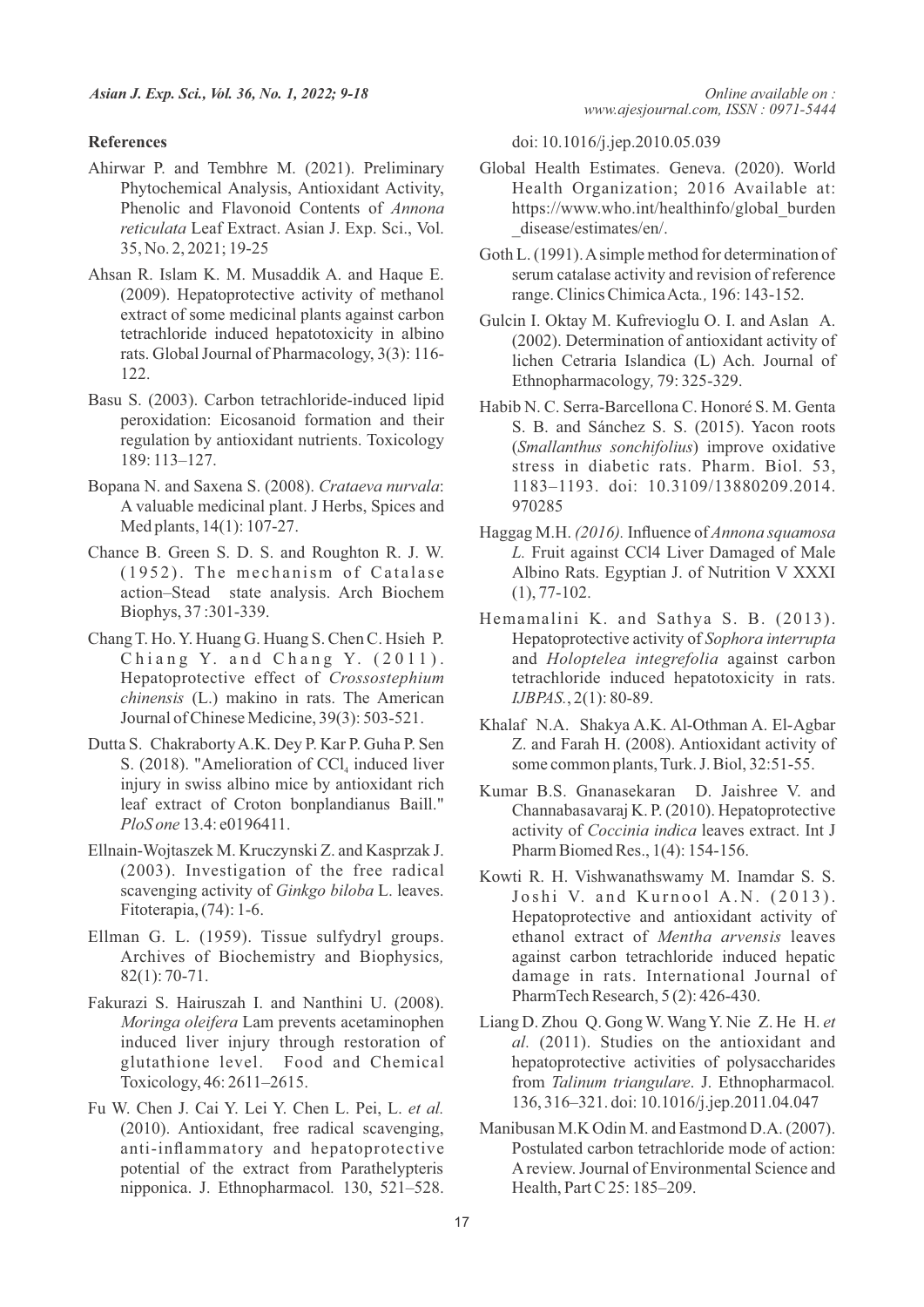#### **References**

- Ahirwar P. and Tembhre M. (2021). Preliminary Phytochemical Analysis, Antioxidant Activity, Phenolic and Flavonoid Contents of *Annona reticulata* Leaf Extract. Asian J. Exp. Sci., Vol. 35, No. 2, 2021; 19-25
- Ahsan R. Islam K. M. Musaddik A. and Haque E. (2009). Hepatoprotective activity of methanol extract of some medicinal plants against carbon tetrachloride induced hepatotoxicity in albino rats. Global Journal of Pharmacology, 3(3): 116- 122.
- Basu S. (2003). Carbon tetrachloride-induced lipid peroxidation: Eicosanoid formation and their regulation by antioxidant nutrients. Toxicology 189: 113–127.
- Bopana N. and Saxena S. (2008). *Crataeva nurvala*: A valuable medicinal plant. J Herbs, Spices and Med plants, 14(1): 107-27.
- Chance B. Green S. D. S. and Roughton R. J. W.  $(1952)$ . The mechanism of Catalase action–Stead state analysis. Arch Biochem Biophys, 37 :301-339.
- Chang T. Ho. Y. Huang G. Huang S. Chen C. Hsieh P. Chiang Y. and Chang Y.  $(2011)$ . Hepatoprotective effect of *Crossostephium chinensis* (L.) makino in rats. The American Journal of Chinese Medicine, 39(3): 503-521.
- Dutta S. Chakraborty A.K. Dey P. Kar P. Guha P. Sen S. (2018). "Amelioration of  $CCl_4$  induced liver injury in swiss albino mice by antioxidant rich leaf extract of Croton bonplandianus Baill." *PloS one* 13.4: e0196411.
- Ellnain-Wojtaszek M. Kruczynski Z. and Kasprzak J. (2003). Investigation of the free radical scavenging activity of *Ginkgo biloba* L. leaves. Fitoterapia,(74): 1-6.
- Ellman G. L. (1959). Tissue sulfydryl groups. Archives of Biochemistry and Biophysics*,*  82(1): 70-71.
- Fakurazi S. Hairuszah I. and Nanthini U. (2008). *Moringa oleifera* Lam prevents acetaminophen induced liver injury through restoration of glutathione level. Food and Chemical Toxicology, 46: 2611–2615.
- Fu W. Chen J. Cai Y. Lei Y. Chen L. Pei, L. *et al.* (2010). Antioxidant, free radical scavenging, anti-inflammatory and hepatoprotective potential of the extract from Parathelypteris nipponica. J. Ethnopharmacol*.* 130, 521–528.

doi: 10.1016/j.jep.2010.05.039

- Global Health Estimates. Geneva. (2020). World Health Organization; 2016 Available at: https://www.who.int/healthinfo/global\_burden \_disease/estimates/en/.
- Goth L. (1991). Asimple method for determination of serum catalase activity and revision of reference range. Clinics Chimica Acta*.,* 196: 143-152.
- Gulcin I. Oktay M. Kufrevioglu O. I. and Aslan A. (2002). Determination of antioxidant activity of lichen Cetraria Islandica (L) Ach. Journal of Ethnopharmacology*,* 79: 325-329.
- Habib N. C. Serra-Barcellona C. Honoré S. M. Genta S. B. and Sánchez S. S. (2015). Yacon roots (*Smallanthus sonchifolius*) improve oxidative stress in diabetic rats. Pharm. Biol. 53, 1183–1193. doi: 10.3109/13880209.2014. 970285
- Haggag M.H. *(2016).* Influence of *Annona squamosa L.* Fruit against CCl4 Liver Damaged of Male Albino Rats. Egyptian J. of Nutrition V XXXI (1), 77-102.
- Hemamalini K. and Sathya S. B. (2013). Hepatoprotective activity of *Sophora interrupta*  and *Holoptelea integrefolia* against carbon tetrachloride induced hepatotoxicity in rats. *IJBPAS.*, 2(1): 80-89.
- Khalaf N.A. Shakya A.K. Al-Othman A. El-Agbar Z. and Farah H. (2008). Antioxidant activity of some common plants, Turk. J. Biol, 32:51-55.
- Kumar B.S. Gnanasekaran D. Jaishree V. and Channabasavaraj K. P. (2010). Hepatoprotective activity of *Coccinia indica* leaves extract. Int J Pharm Biomed Res., 1(4): 154-156.
- Kowti R. H. Vishwanathswamy M. Inamdar S. S. Joshi V. and Kurnool A.N.  $(2013)$ . Hepatoprotective and antioxidant activity of ethanol extract of *Mentha arvensis* leaves against carbon tetrachloride induced hepatic damage in rats. International Journal of PharmTech Research, 5 (2): 426-430.
- Liang D. Zhou Q. Gong W. Wang Y. Nie Z. He H. *et al.* (2011). Studies on the antioxidant and hepatoprotective activities of polysaccharides from *Talinum triangulare*. J. Ethnopharmacol*.* 136, 316–321. doi: 10.1016/j.jep.2011.04.047
- Manibusan M.K Odin M. and Eastmond D.A. (2007). Postulated carbon tetrachloride mode of action: Areview. Journal of Environmental Science and Health, Part C 25: 185–209.